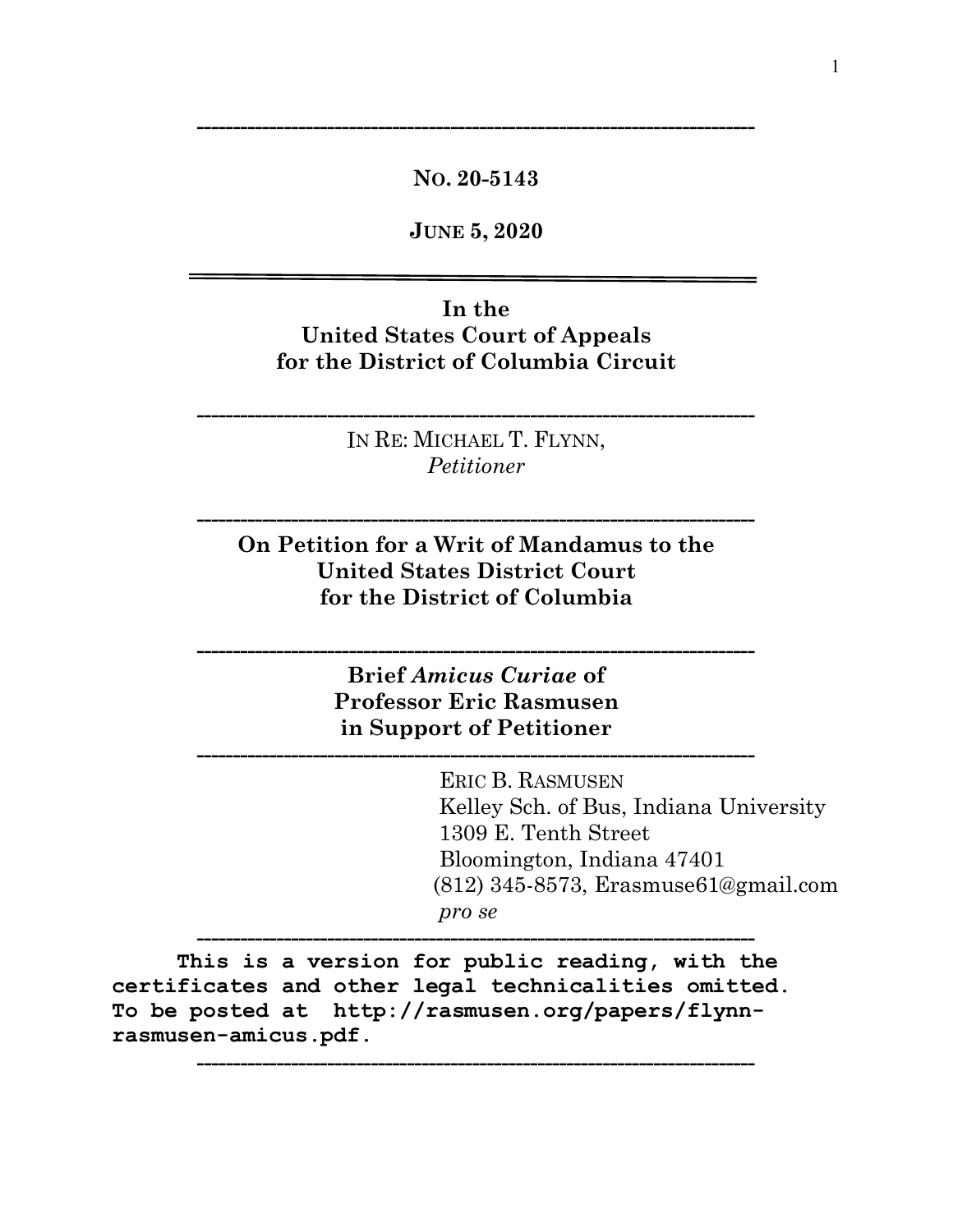### **NO. 20-5143**

**-----------------------------------------------------------------------------**

**JUNE 5, 2020**

### **In the United States Court of Appeals for the District of Columbia Circuit**

IN RE: MICHAEL T. FLYNN, *Petitioner*

**-----------------------------------------------------------------------------**

**On Petition for a Writ of Mandamus to the United States District Court for the District of Columbia**

**-----------------------------------------------------------------------------**

**Brief** *Amicus Curiae* **of Professor Eric Rasmusen in Support of Petitioner**

**-----------------------------------------------------------------------------**

**-----------------------------------------------------------------------------**

**-----------------------------------------------------------------------------**

**-----------------------------------------------------------------------------**

 ERIC B. RASMUSEN Kelley Sch. of Bus, Indiana University 1309 E. Tenth Street Bloomington, Indiana 47401 (812) 345-8573, Erasmuse61@gmail.com *pro se*

 **This is a version for public reading, with the certificates and other legal technicalities omitted. To be posted at http://rasmusen.org/papers/flynnrasmusen-amicus.pdf.**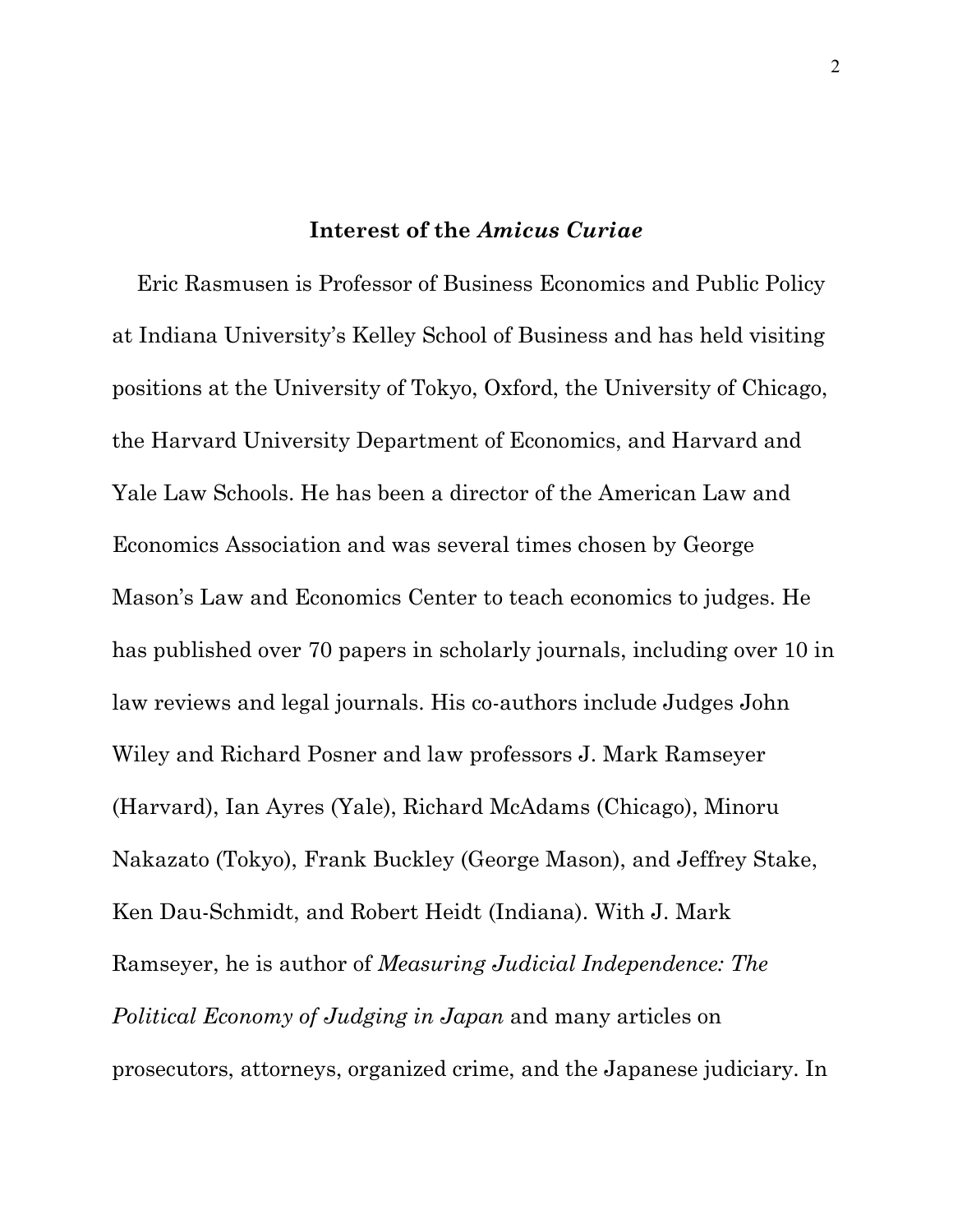### **Interest of the** *Amicus Curiae*

 Eric Rasmusen is Professor of Business Economics and Public Policy at Indiana University's Kelley School of Business and has held visiting positions at the University of Tokyo, Oxford, the University of Chicago, the Harvard University Department of Economics, and Harvard and Yale Law Schools. He has been a director of the American Law and Economics Association and was several times chosen by George Mason's Law and Economics Center to teach economics to judges. He has published over 70 papers in scholarly journals, including over 10 in law reviews and legal journals. His co-authors include Judges John Wiley and Richard Posner and law professors J. Mark Ramseyer (Harvard), Ian Ayres (Yale), Richard McAdams (Chicago), Minoru Nakazato (Tokyo), Frank Buckley (George Mason), and Jeffrey Stake, Ken Dau-Schmidt, and Robert Heidt (Indiana). With J. Mark Ramseyer, he is author of *Measuring Judicial Independence: The Political Economy of Judging in Japan* and many articles on prosecutors, attorneys, organized crime, and the Japanese judiciary. In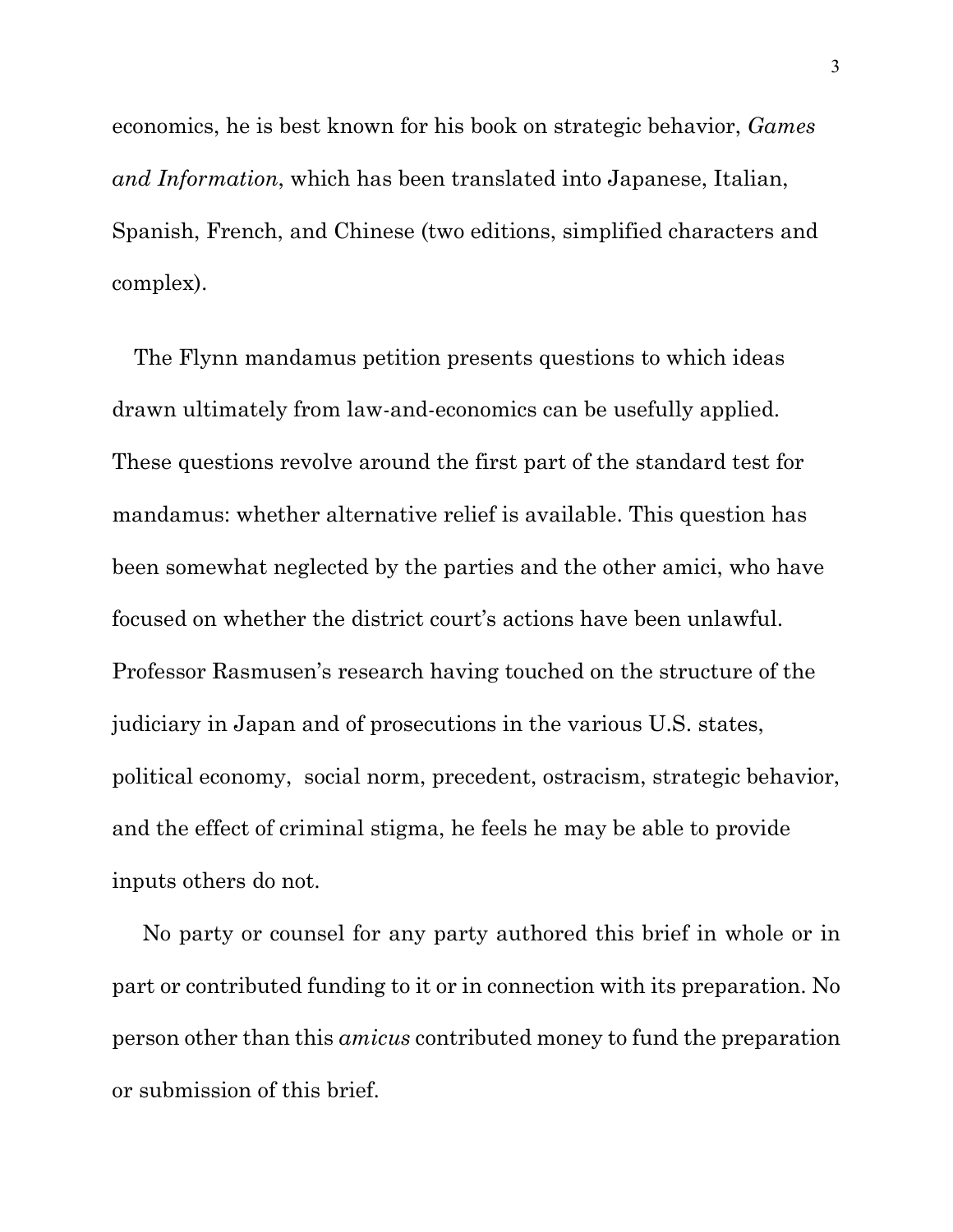economics, he is best known for his book on strategic behavior, *Games and Information*, which has been translated into Japanese, Italian, Spanish, French, and Chinese (two editions, simplified characters and complex).

 The Flynn mandamus petition presents questions to which ideas drawn ultimately from law-and-economics can be usefully applied. These questions revolve around the first part of the standard test for mandamus: whether alternative relief is available. This question has been somewhat neglected by the parties and the other amici, who have focused on whether the district court's actions have been unlawful. Professor Rasmusen's research having touched on the structure of the judiciary in Japan and of prosecutions in the various U.S. states, political economy, social norm, precedent, ostracism, strategic behavior, and the effect of criminal stigma, he feels he may be able to provide inputs others do not.

 No party or counsel for any party authored this brief in whole or in part or contributed funding to it or in connection with its preparation. No person other than this *amicus* contributed money to fund the preparation or submission of this brief.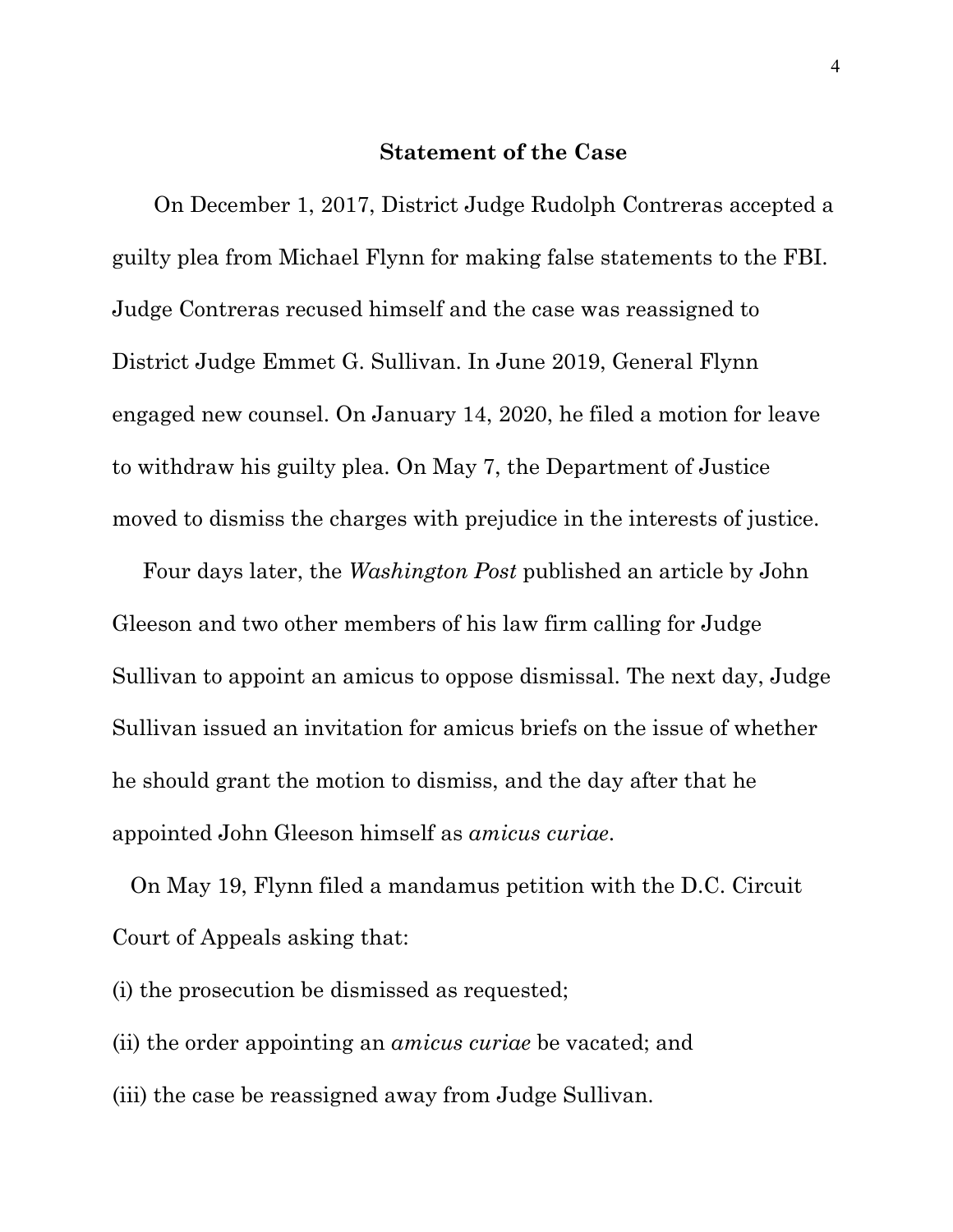#### **Statement of the Case**

On December 1, 2017, District Judge Rudolph Contreras accepted a guilty plea from Michael Flynn for making false statements to the FBI. Judge Contreras recused himself and the case was reassigned to District Judge Emmet G. Sullivan. In June 2019, General Flynn engaged new counsel. On January 14, 2020, he filed a motion for leave to withdraw his guilty plea. On May 7, the Department of Justice moved to dismiss the charges with prejudice in the interests of justice.

 Four days later, the *Washington Post* published an article by John Gleeson and two other members of his law firm calling for Judge Sullivan to appoint an amicus to oppose dismissal. The next day, Judge Sullivan issued an invitation for amicus briefs on the issue of whether he should grant the motion to dismiss, and the day after that he appointed John Gleeson himself as *amicus curiae*.

 On May 19, Flynn filed a mandamus petition with the D.C. Circuit Court of Appeals asking that:

(i) the prosecution be dismissed as requested;

(ii) the order appointing an *amicus curiae* be vacated; and

(iii) the case be reassigned away from Judge Sullivan.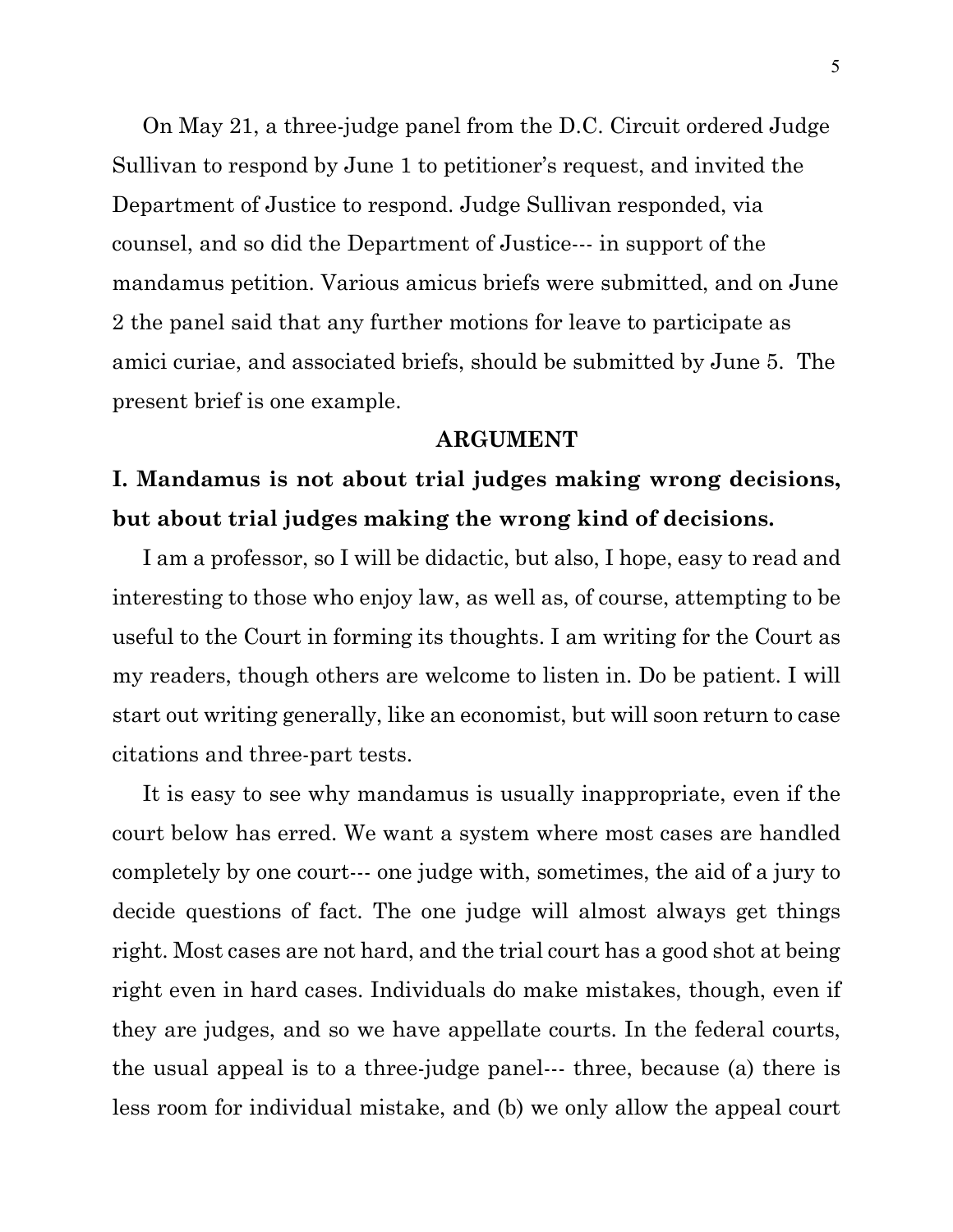On May 21, a three-judge panel from the D.C. Circuit ordered Judge Sullivan to respond by June 1 to petitioner's request, and invited the Department of Justice to respond. Judge Sullivan responded, via counsel, and so did the Department of Justice--- in support of the mandamus petition. Various amicus briefs were submitted, and on June 2 the panel said that any further motions for leave to participate as amici curiae, and associated briefs, should be submitted by June 5. The present brief is one example.

#### **ARGUMENT**

## **I. Mandamus is not about trial judges making wrong decisions, but about trial judges making the wrong kind of decisions.**

 I am a professor, so I will be didactic, but also, I hope, easy to read and interesting to those who enjoy law, as well as, of course, attempting to be useful to the Court in forming its thoughts. I am writing for the Court as my readers, though others are welcome to listen in. Do be patient. I will start out writing generally, like an economist, but will soon return to case citations and three-part tests.

 It is easy to see why mandamus is usually inappropriate, even if the court below has erred. We want a system where most cases are handled completely by one court--- one judge with, sometimes, the aid of a jury to decide questions of fact. The one judge will almost always get things right. Most cases are not hard, and the trial court has a good shot at being right even in hard cases. Individuals do make mistakes, though, even if they are judges, and so we have appellate courts. In the federal courts, the usual appeal is to a three-judge panel--- three, because (a) there is less room for individual mistake, and (b) we only allow the appeal court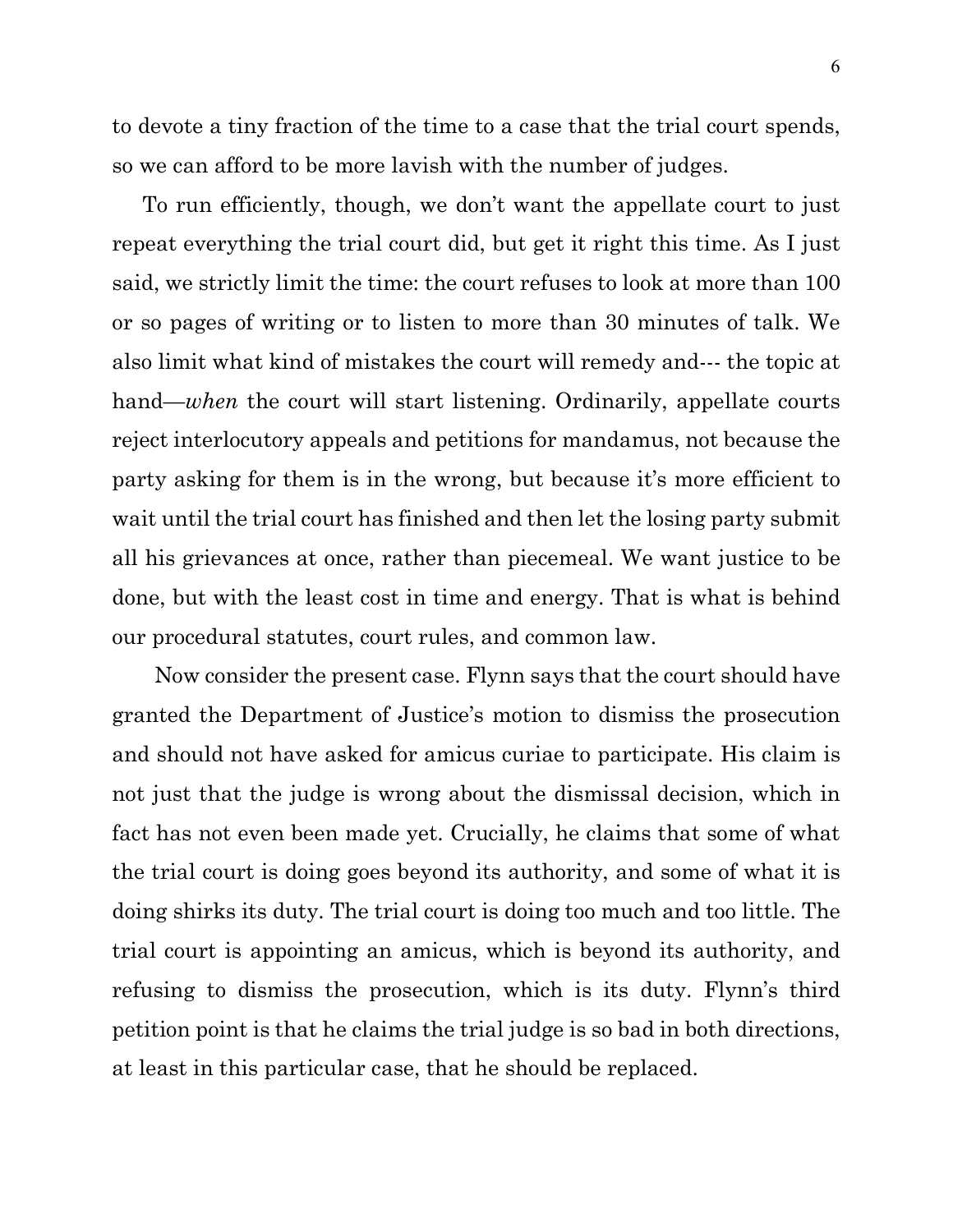to devote a tiny fraction of the time to a case that the trial court spends, so we can afford to be more lavish with the number of judges.

 To run efficiently, though, we don't want the appellate court to just repeat everything the trial court did, but get it right this time. As I just said, we strictly limit the time: the court refuses to look at more than 100 or so pages of writing or to listen to more than 30 minutes of talk. We also limit what kind of mistakes the court will remedy and--- the topic at hand—*when* the court will start listening. Ordinarily, appellate courts reject interlocutory appeals and petitions for mandamus, not because the party asking for them is in the wrong, but because it's more efficient to wait until the trial court has finished and then let the losing party submit all his grievances at once, rather than piecemeal. We want justice to be done, but with the least cost in time and energy. That is what is behind our procedural statutes, court rules, and common law.

 Now consider the present case. Flynn says that the court should have granted the Department of Justice's motion to dismiss the prosecution and should not have asked for amicus curiae to participate. His claim is not just that the judge is wrong about the dismissal decision, which in fact has not even been made yet. Crucially, he claims that some of what the trial court is doing goes beyond its authority, and some of what it is doing shirks its duty. The trial court is doing too much and too little. The trial court is appointing an amicus, which is beyond its authority, and refusing to dismiss the prosecution, which is its duty. Flynn's third petition point is that he claims the trial judge is so bad in both directions, at least in this particular case, that he should be replaced.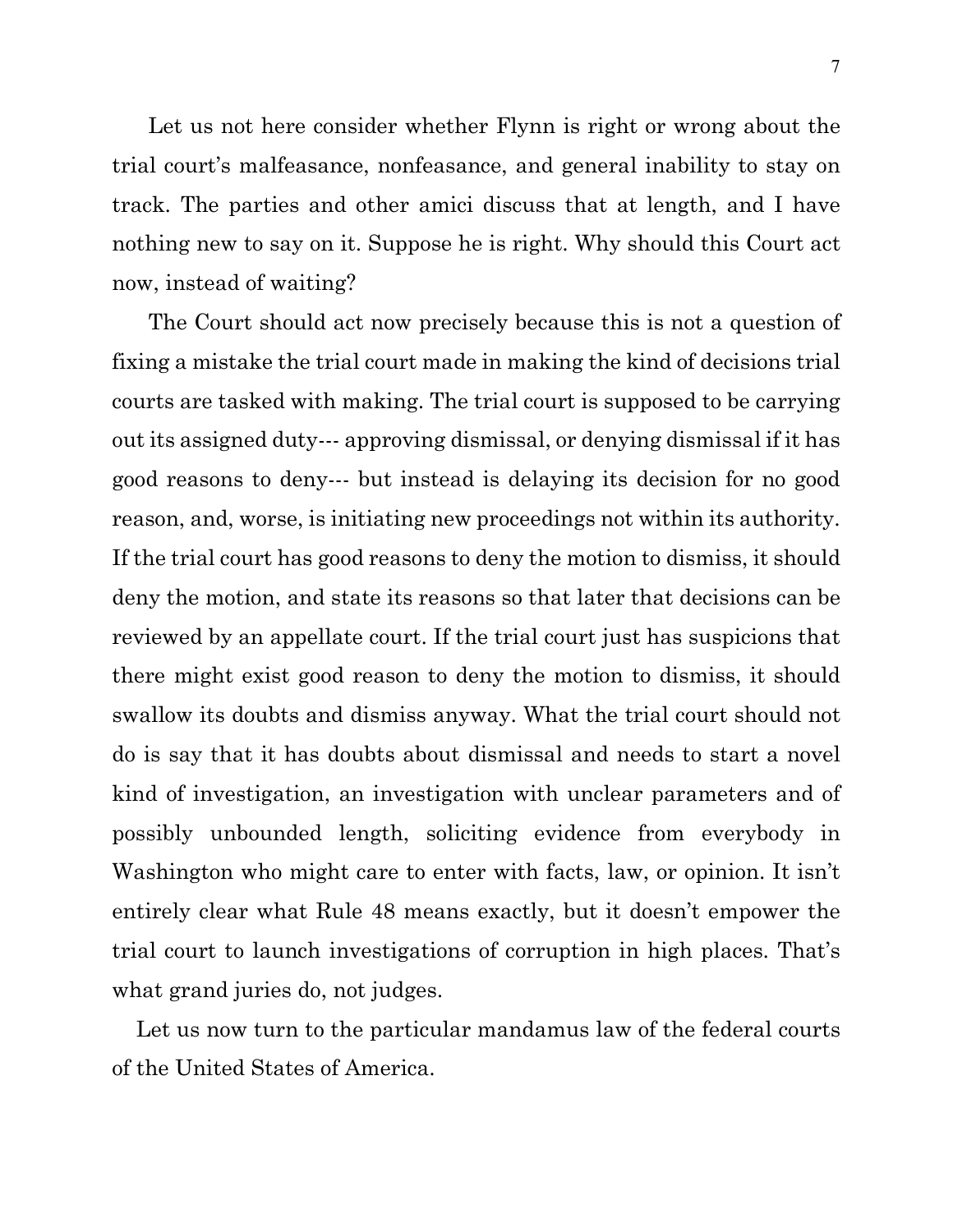Let us not here consider whether Flynn is right or wrong about the trial court's malfeasance, nonfeasance, and general inability to stay on track. The parties and other amici discuss that at length, and I have nothing new to say on it. Suppose he is right. Why should this Court act now, instead of waiting?

 The Court should act now precisely because this is not a question of fixing a mistake the trial court made in making the kind of decisions trial courts are tasked with making. The trial court is supposed to be carrying out its assigned duty--- approving dismissal, or denying dismissal if it has good reasons to deny--- but instead is delaying its decision for no good reason, and, worse, is initiating new proceedings not within its authority. If the trial court has good reasons to deny the motion to dismiss, it should deny the motion, and state its reasons so that later that decisions can be reviewed by an appellate court. If the trial court just has suspicions that there might exist good reason to deny the motion to dismiss, it should swallow its doubts and dismiss anyway. What the trial court should not do is say that it has doubts about dismissal and needs to start a novel kind of investigation, an investigation with unclear parameters and of possibly unbounded length, soliciting evidence from everybody in Washington who might care to enter with facts, law, or opinion. It isn't entirely clear what Rule 48 means exactly, but it doesn't empower the trial court to launch investigations of corruption in high places. That's what grand juries do, not judges.

 Let us now turn to the particular mandamus law of the federal courts of the United States of America.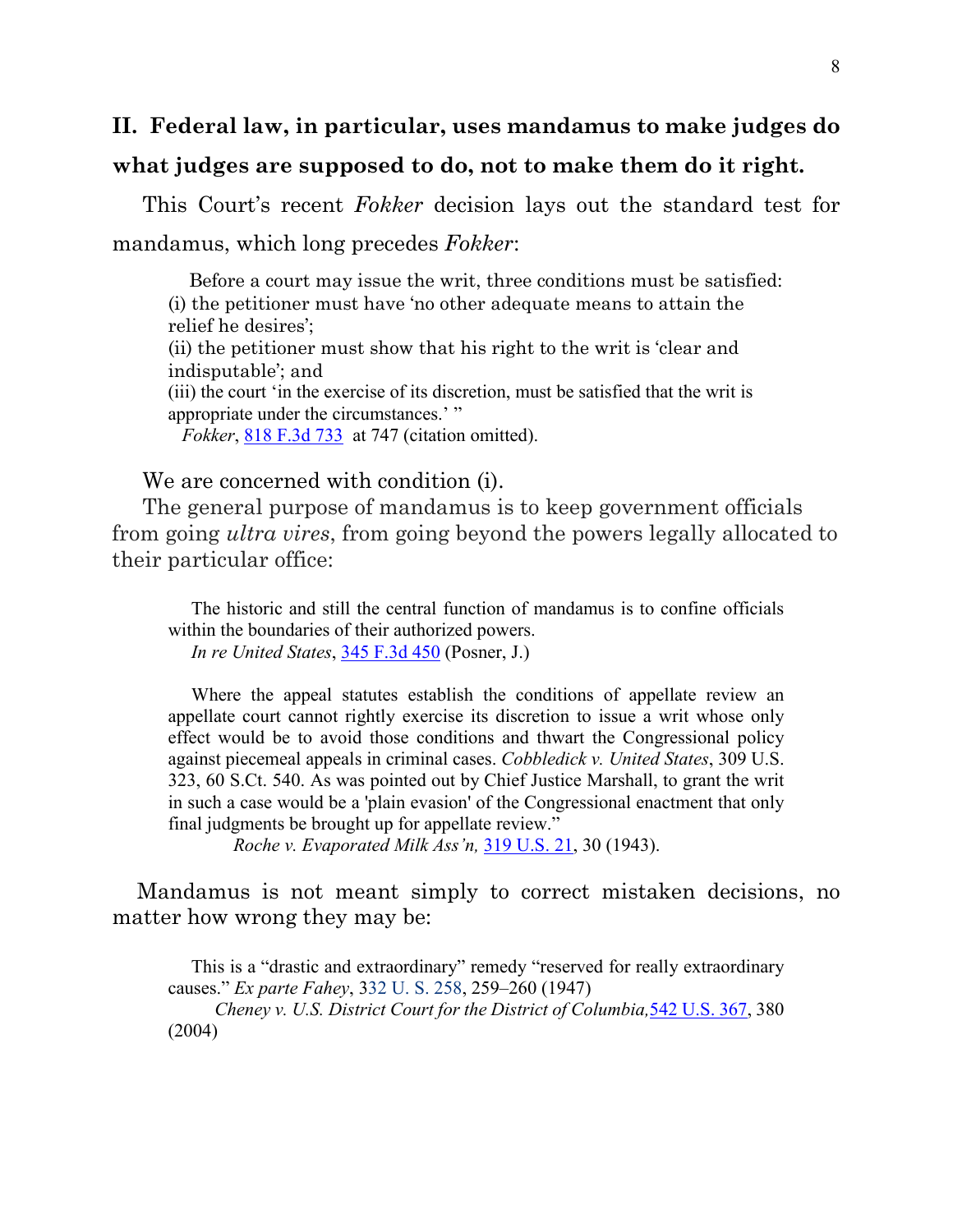# **II. Federal law, in particular, uses mandamus to make judges do what judges are supposed to do, not to make them do it right.**

 This Court's recent *Fokker* decision lays out the standard test for mandamus, which long precedes *Fokker*:

 Before a court may issue the writ, three conditions must be satisfied: (i) the petitioner must have 'no other adequate means to attain the relief he desires';

(ii) the petitioner must show that his right to the writ is 'clear and indisputable'; and

(iii) the court 'in the exercise of its discretion, must be satisfied that the writ is appropriate under the circumstances.' "

*Fokker*, [818 F.3d 733](https://casetext.com/case/united-states-v-fokker-servs-bv-4) at 747 (citation omitted).

#### We are concerned with condition (i).

 The general purpose of mandamus is to keep government officials from going *ultra vires*, from going beyond the powers legally allocated to their particular office:

 The historic and still the central function of mandamus is to confine officials within the boundaries of their authorized powers.

 *In re United States*, 345 F.3d 450 (Posner, J.)

 Where the appeal statutes establish the conditions of appellate review an appellate court cannot rightly exercise its discretion to issue a writ whose only effect would be to avoid those conditions and thwart the Congressional policy against piecemeal appeals in criminal cases. *Cobbledick v. United States*, 309 U.S. 323, 60 S.Ct. 540. As was pointed out by Chief Justice Marshall, to grant the writ in such a case would be a 'plain evasion' of the Congressional enactment that only final judgments be brought up for appellate review."

*Roche v. Evaporated Milk Ass'n,* [319 U.S. 21,](https://caselaw.findlaw.com/us-supreme-court/319/21.html) 30 (1943).

Mandamus is not meant simply to correct mistaken decisions, no matter how wrong they may be:

 This is a "drastic and extraordinary" remedy "reserved for really extraordinary causes." *Ex parte Fahey*, [332 U. S. 258,](https://supreme.justia.com/cases/federal/us/332/258/index.html) 259–260 (1947)

 *[Cheney v. U.S. District Court for the District of Columbia,](https://scholar.google.com/scholar_case?case=10986519142240111755&q=818+F3d+fokker&hl=en&as_sdt=800006)*[542 U.S. 367,](https://scholar.google.com/scholar_case?case=10986519142240111755&q=818+F3d+fokker&hl=en&as_sdt=800006) 380 [\(2004\)](https://scholar.google.com/scholar_case?case=10986519142240111755&q=818+F3d+fokker&hl=en&as_sdt=800006)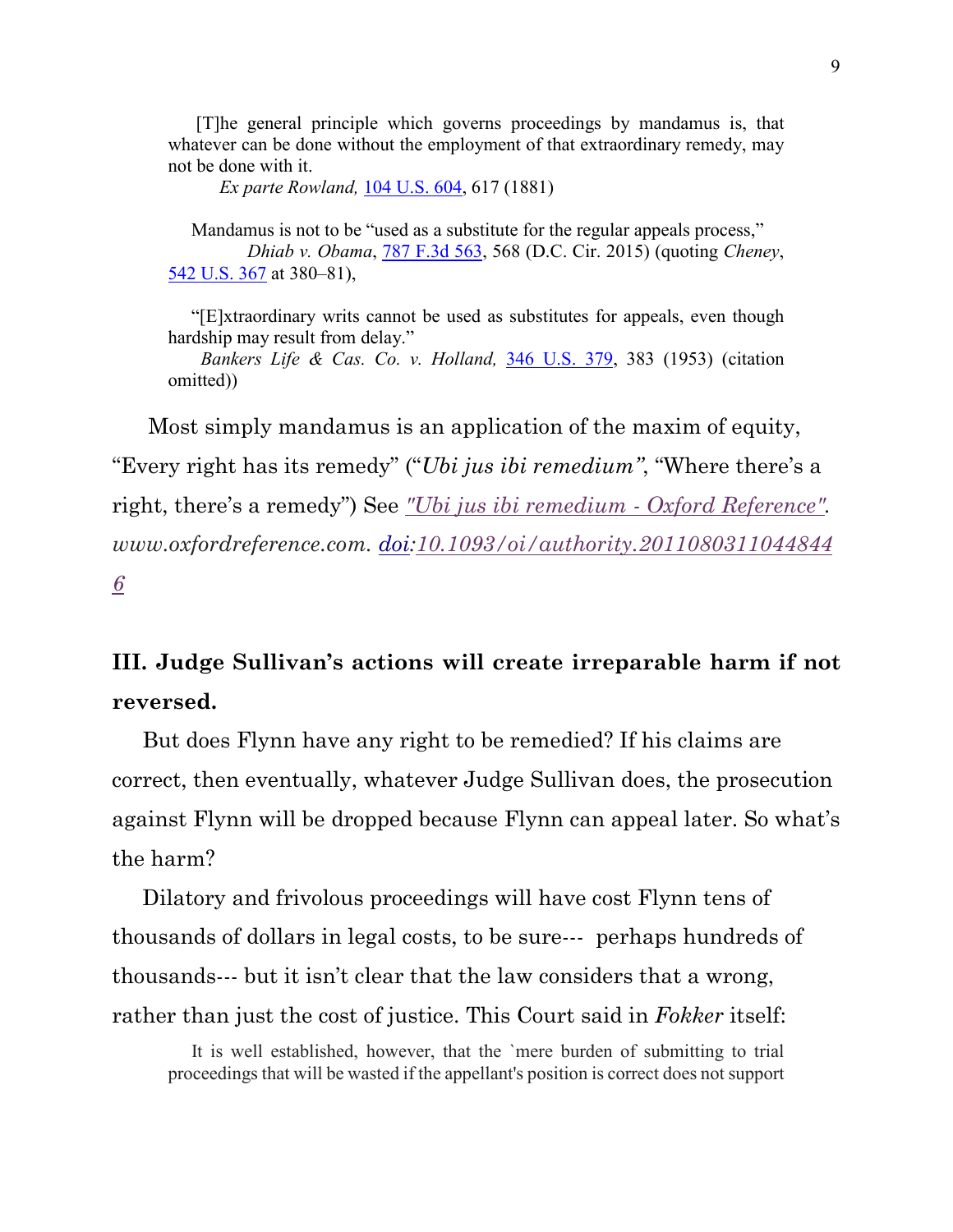[T]he general principle which governs proceedings by mandamus is, that whatever can be done without the employment of that extraordinary remedy, may not be done with it.

*Ex parte Rowland,* [104 U.S. 604,](https://supreme.justia.com/cases/federal/us/104/604/) 617 (1881)

 Mandamus is not to be "used as a substitute for the regular appeals process," *Dhiab v. Obama*, [787 F.3d 563,](https://cite.case.law/f3d/787/563/4227974/) 568 (D.C. Cir. 2015) (quoting *Cheney*, [542 U.S. 367](https://scholar.google.com/scholar_case?case=10986519142240111755&q=818+F3d+fokker&hl=en&as_sdt=800006) at 380–81),

 "[E]xtraordinary writs cannot be used as substitutes for appeals, even though hardship may result from delay."

 *Bankers Life & Cas. Co. v. Holland,* [346 U.S. 379,](https://supreme.justia.com/cases/federal/us/346/379/) 383 (1953) (citation omitted))

 Most simply mandamus is an application of the maxim of equity, "Every right has its remedy" ("*Ubi jus ibi remedium"*, "Where there's a right, there's a remedy") See *["Ubi jus ibi remedium -](https://www.oxfordreference.com/view/10.1093/oi/authority.20110803110448446) Oxford Reference". www.oxfordreference.com. [doi](https://en.wikipedia.org/wiki/Doi_(identifier))[:10.1093/oi/authority.2011080311044844](https://doi.org/10.1093%2Foi%2Fauthority.20110803110448446) [6](https://doi.org/10.1093%2Foi%2Fauthority.20110803110448446)*

# **III. Judge Sullivan's actions will create irreparable harm if not reversed.**

 But does Flynn have any right to be remedied? If his claims are correct, then eventually, whatever Judge Sullivan does, the prosecution against Flynn will be dropped because Flynn can appeal later. So what's the harm?

 Dilatory and frivolous proceedings will have cost Flynn tens of thousands of dollars in legal costs, to be sure--- perhaps hundreds of thousands--- but it isn't clear that the law considers that a wrong, rather than just the cost of justice. This Court said in *Fokker* itself:

 It is well established, however, that the `mere burden of submitting to trial proceedings that will be wasted if the appellant's position is correct does not support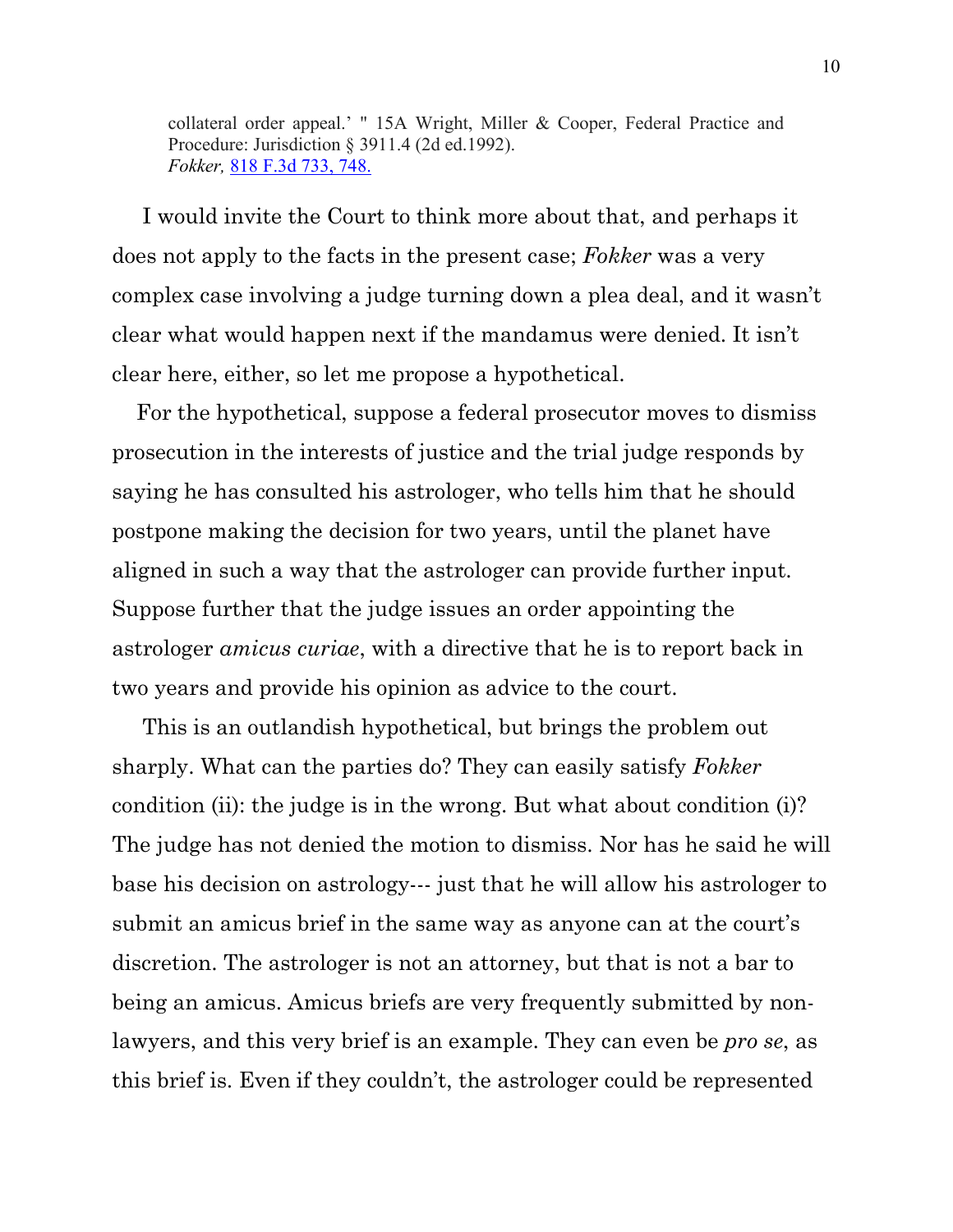collateral order appeal.' " 15A Wright, Miller & Cooper, Federal Practice and Procedure: Jurisdiction § 3911.4 (2d ed.1992). *Fokker,* [818 F.3d 733,](https://casetext.com/case/united-states-v-fokker-servs-bv-4) 748.

 I would invite the Court to think more about that, and perhaps it does not apply to the facts in the present case; *Fokker* was a very complex case involving a judge turning down a plea deal, and it wasn't clear what would happen next if the mandamus were denied. It isn't clear here, either, so let me propose a hypothetical.

 For the hypothetical, suppose a federal prosecutor moves to dismiss prosecution in the interests of justice and the trial judge responds by saying he has consulted his astrologer, who tells him that he should postpone making the decision for two years, until the planet have aligned in such a way that the astrologer can provide further input. Suppose further that the judge issues an order appointing the astrologer *amicus curiae*, with a directive that he is to report back in two years and provide his opinion as advice to the court.

 This is an outlandish hypothetical, but brings the problem out sharply. What can the parties do? They can easily satisfy *Fokker* condition (ii): the judge is in the wrong. But what about condition (i)? The judge has not denied the motion to dismiss. Nor has he said he will base his decision on astrology--- just that he will allow his astrologer to submit an amicus brief in the same way as anyone can at the court's discretion. The astrologer is not an attorney, but that is not a bar to being an amicus. Amicus briefs are very frequently submitted by nonlawyers, and this very brief is an example. They can even be *pro se*, as this brief is. Even if they couldn't, the astrologer could be represented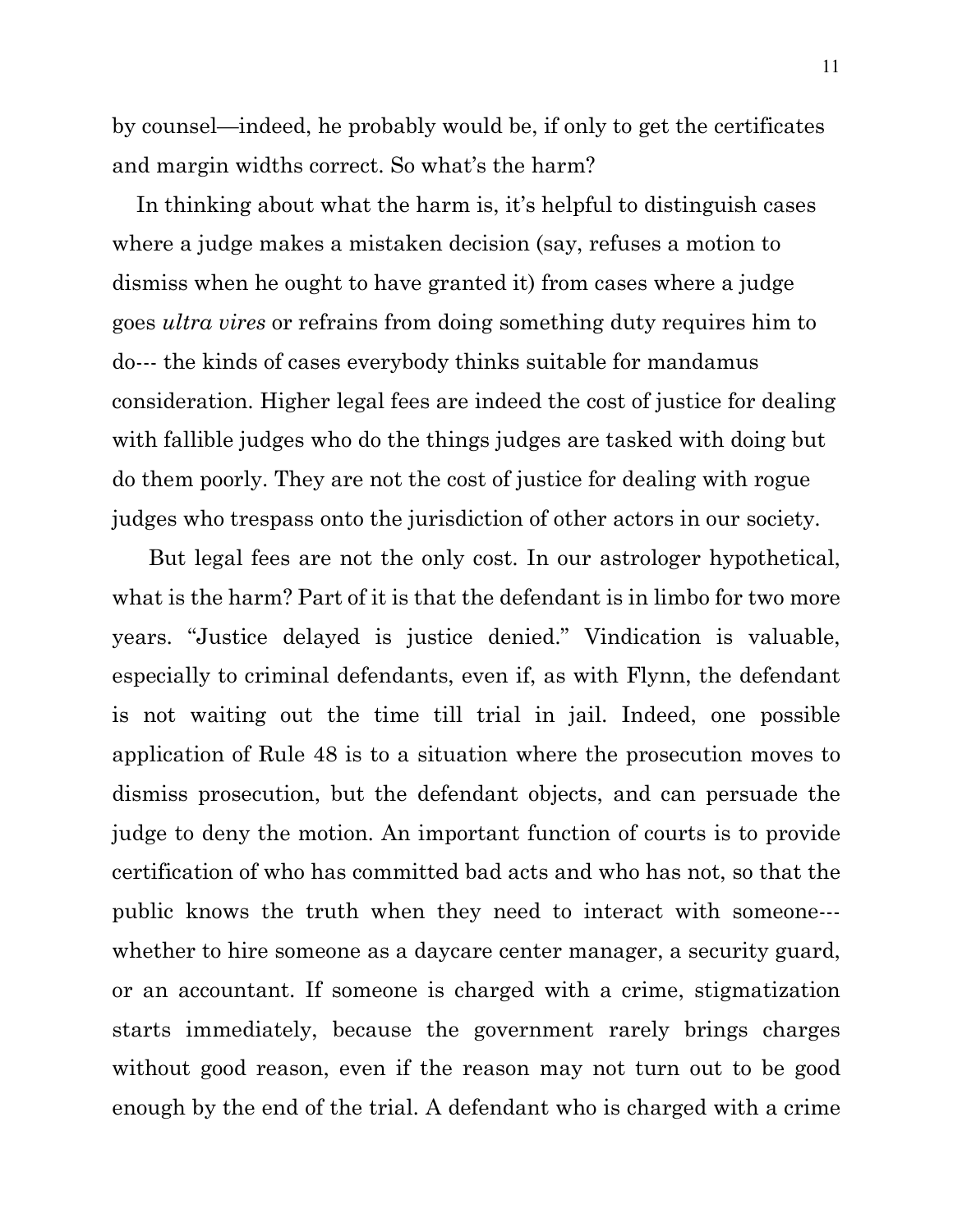by counsel—indeed, he probably would be, if only to get the certificates and margin widths correct. So what's the harm?

 In thinking about what the harm is, it's helpful to distinguish cases where a judge makes a mistaken decision (say, refuses a motion to dismiss when he ought to have granted it) from cases where a judge goes *ultra vires* or refrains from doing something duty requires him to do--- the kinds of cases everybody thinks suitable for mandamus consideration. Higher legal fees are indeed the cost of justice for dealing with fallible judges who do the things judges are tasked with doing but do them poorly. They are not the cost of justice for dealing with rogue judges who trespass onto the jurisdiction of other actors in our society.

 But legal fees are not the only cost. In our astrologer hypothetical, what is the harm? Part of it is that the defendant is in limbo for two more years. "Justice delayed is justice denied." Vindication is valuable, especially to criminal defendants, even if, as with Flynn, the defendant is not waiting out the time till trial in jail. Indeed, one possible application of Rule 48 is to a situation where the prosecution moves to dismiss prosecution, but the defendant objects, and can persuade the judge to deny the motion. An important function of courts is to provide certification of who has committed bad acts and who has not, so that the public knows the truth when they need to interact with someone-- whether to hire someone as a daycare center manager, a security guard, or an accountant. If someone is charged with a crime, stigmatization starts immediately, because the government rarely brings charges without good reason, even if the reason may not turn out to be good enough by the end of the trial. A defendant who is charged with a crime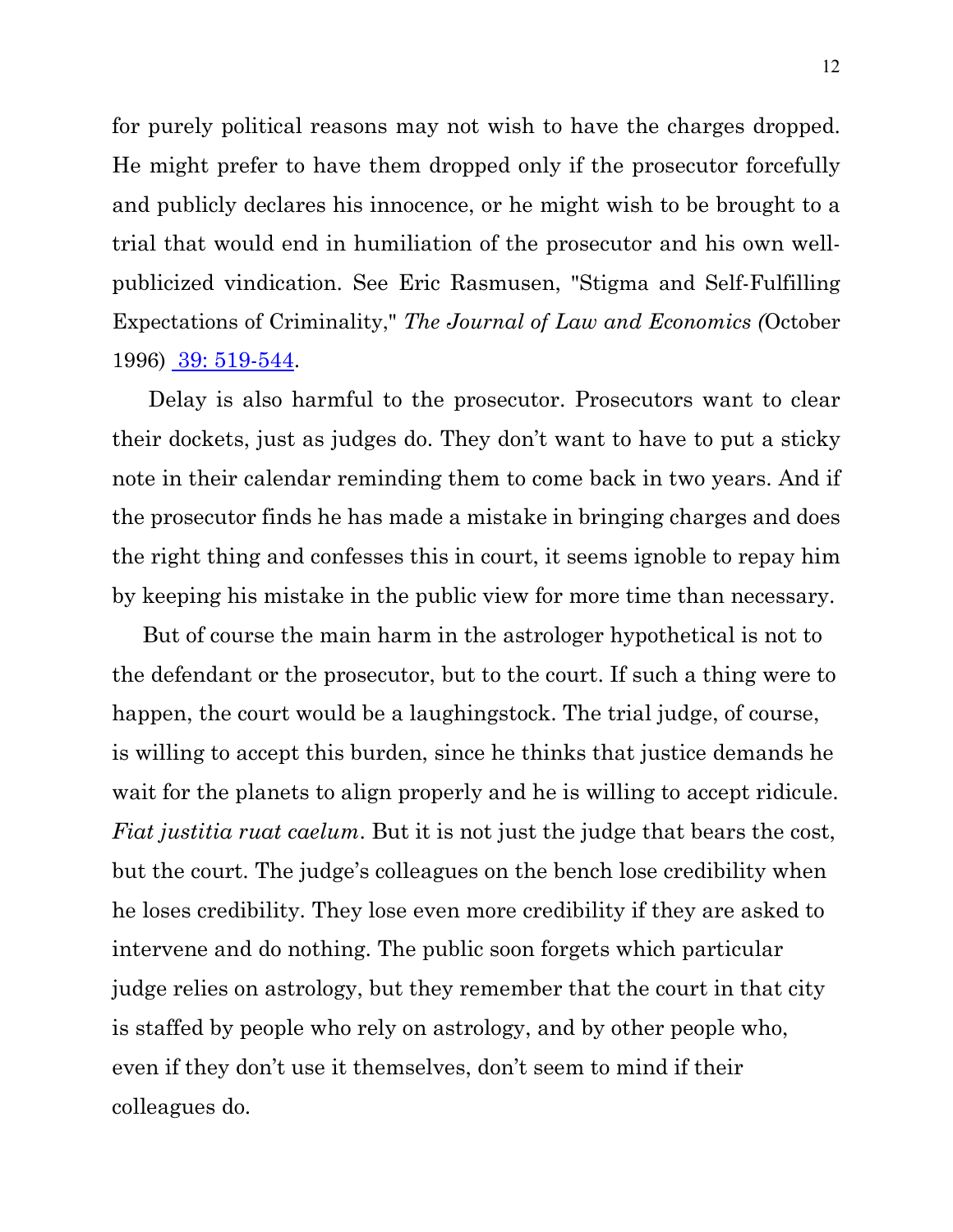for purely political reasons may not wish to have the charges dropped. He might prefer to have them dropped only if the prosecutor forcefully and publicly declares his innocence, or he might wish to be brought to a trial that would end in humiliation of the prosecutor and his own wellpublicized vindication. See Eric Rasmusen, "Stigma and Self-Fulfilling Expectations of Criminality," *The Journal of Law and Economics (*October 1996) [39: 519-544.](http://www.rasmusen.org/published/Rasmusen_96JLE.stigma.pdf)

 Delay is also harmful to the prosecutor. Prosecutors want to clear their dockets, just as judges do. They don't want to have to put a sticky note in their calendar reminding them to come back in two years. And if the prosecutor finds he has made a mistake in bringing charges and does the right thing and confesses this in court, it seems ignoble to repay him by keeping his mistake in the public view for more time than necessary.

 But of course the main harm in the astrologer hypothetical is not to the defendant or the prosecutor, but to the court. If such a thing were to happen, the court would be a laughingstock. The trial judge, of course, is willing to accept this burden, since he thinks that justice demands he wait for the planets to align properly and he is willing to accept ridicule. *Fiat justitia ruat caelum*. But it is not just the judge that bears the cost, but the court. The judge's colleagues on the bench lose credibility when he loses credibility. They lose even more credibility if they are asked to intervene and do nothing. The public soon forgets which particular judge relies on astrology, but they remember that the court in that city is staffed by people who rely on astrology, and by other people who, even if they don't use it themselves, don't seem to mind if their colleagues do.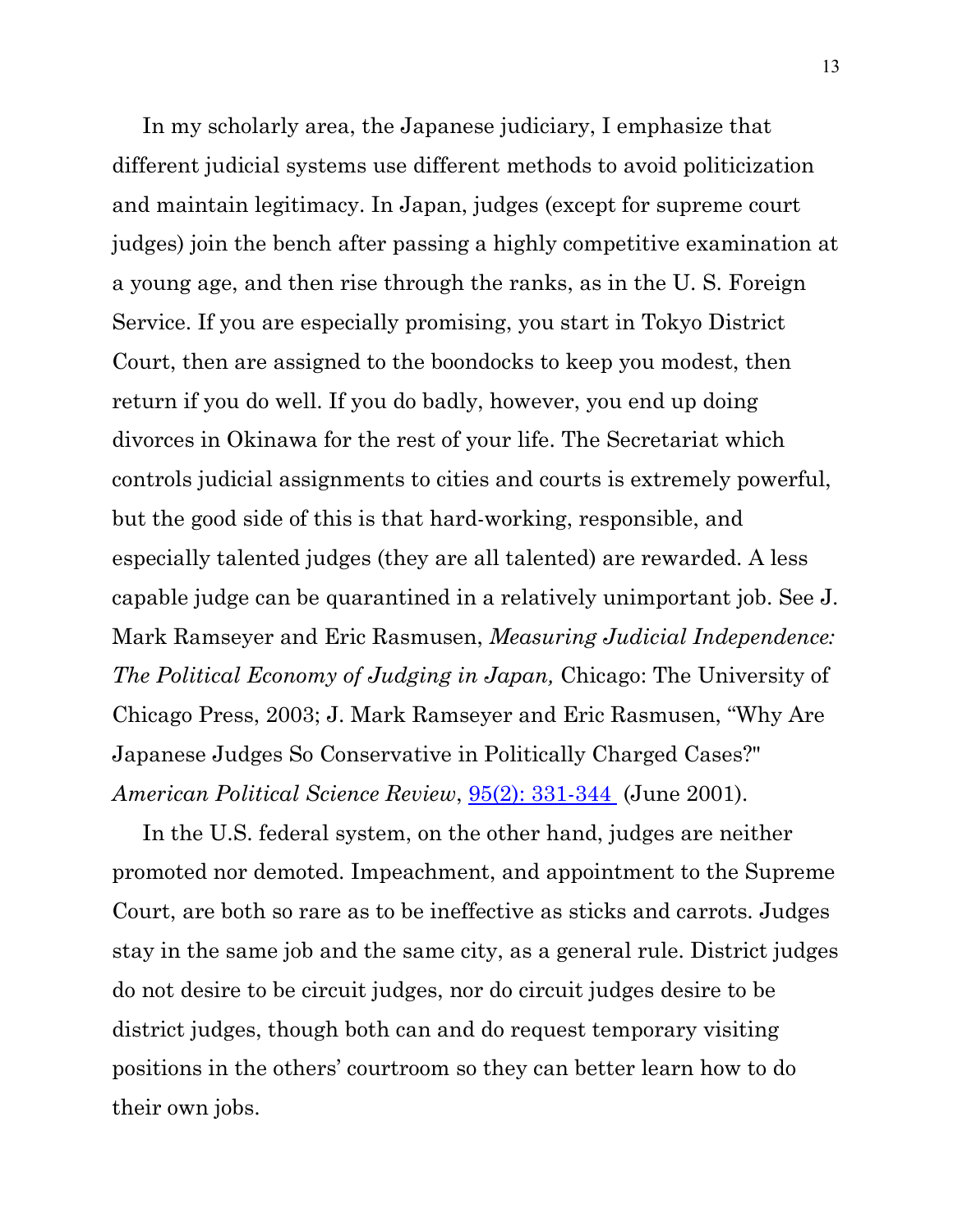In my scholarly area, the Japanese judiciary, I emphasize that different judicial systems use different methods to avoid politicization and maintain legitimacy. In Japan, judges (except for supreme court judges) join the bench after passing a highly competitive examination at a young age, and then rise through the ranks, as in the U. S. Foreign Service. If you are especially promising, you start in Tokyo District Court, then are assigned to the boondocks to keep you modest, then return if you do well. If you do badly, however, you end up doing divorces in Okinawa for the rest of your life. The Secretariat which controls judicial assignments to cities and courts is extremely powerful, but the good side of this is that hard-working, responsible, and especially talented judges (they are all talented) are rewarded. A less capable judge can be quarantined in a relatively unimportant job. See J. Mark Ramseyer and Eric Rasmusen, *Measuring Judicial Independence: The Political Economy of Judging in Japan,* Chicago: The University of Chicago Press, 2003; J. Mark Ramseyer and Eric Rasmusen, "Why Are Japanese Judges So Conservative in Politically Charged Cases?" *American Political Science Review*, [95\(2\): 331-344](http://www.rasmusen.org/published/Rasmusen-01.APSR.jpnpub.pdf) (June 2001).

 In the U.S. federal system, on the other hand, judges are neither promoted nor demoted. Impeachment, and appointment to the Supreme Court, are both so rare as to be ineffective as sticks and carrots. Judges stay in the same job and the same city, as a general rule. District judges do not desire to be circuit judges, nor do circuit judges desire to be district judges, though both can and do request temporary visiting positions in the others' courtroom so they can better learn how to do their own jobs.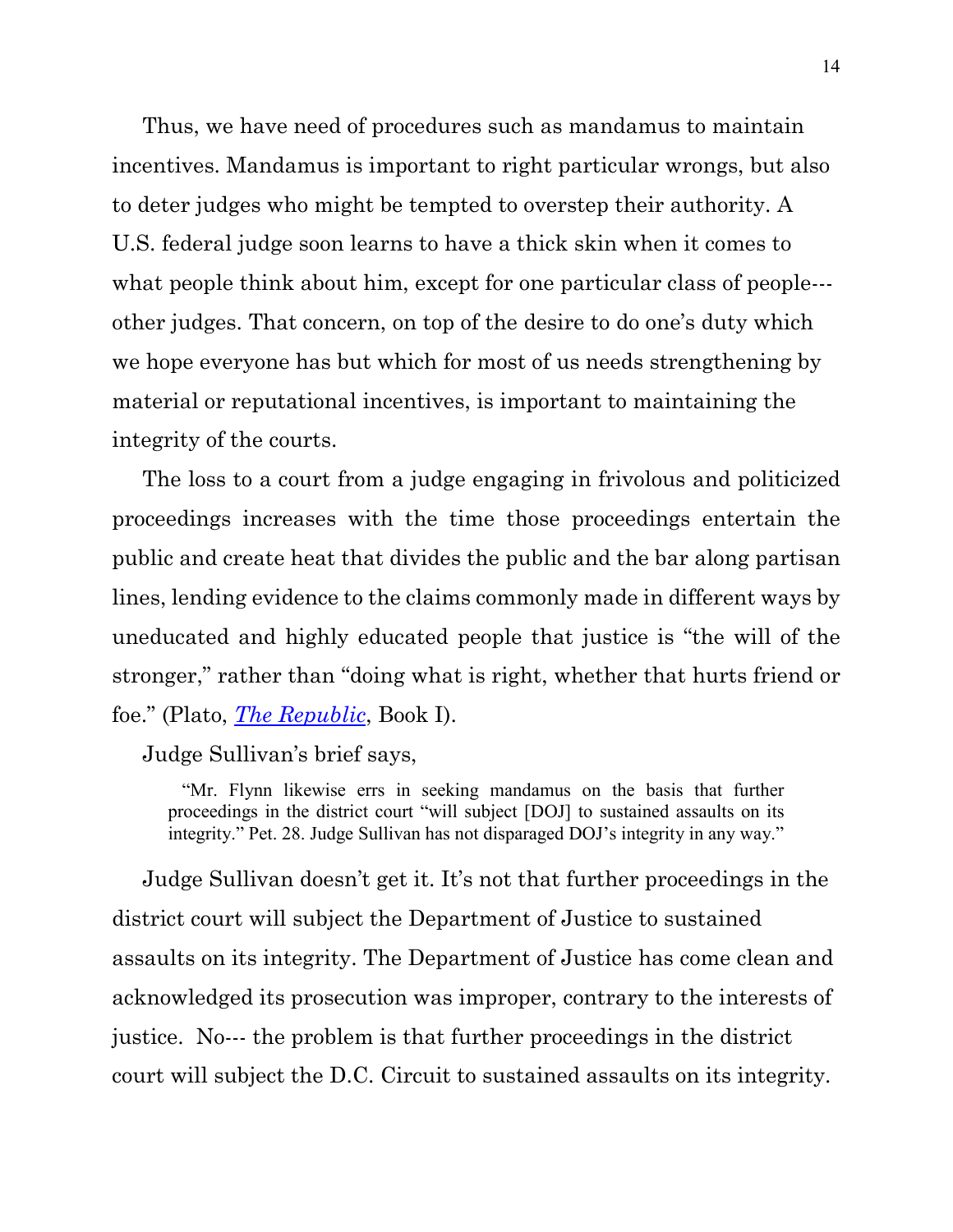Thus, we have need of procedures such as mandamus to maintain incentives. Mandamus is important to right particular wrongs, but also to deter judges who might be tempted to overstep their authority. A U.S. federal judge soon learns to have a thick skin when it comes to what people think about him, except for one particular class of people--other judges. That concern, on top of the desire to do one's duty which we hope everyone has but which for most of us needs strengthening by material or reputational incentives, is important to maintaining the integrity of the courts.

 The loss to a court from a judge engaging in frivolous and politicized proceedings increases with the time those proceedings entertain the public and create heat that divides the public and the bar along partisan lines, lending evidence to the claims commonly made in different ways by uneducated and highly educated people that justice is "the will of the stronger," rather than "doing what is right, whether that hurts friend or foe." (Plato, *[The Republic](http://www.inp.uw.edu.pl/mdsie/Political_Thought/Plato-Republic.pdf)*, Book I).

Judge Sullivan's brief says,

 "Mr. Flynn likewise errs in seeking mandamus on the basis that further proceedings in the district court "will subject [DOJ] to sustained assaults on its integrity." Pet. 28. Judge Sullivan has not disparaged DOJ's integrity in any way."

 Judge Sullivan doesn't get it. It's not that further proceedings in the district court will subject the Department of Justice to sustained assaults on its integrity. The Department of Justice has come clean and acknowledged its prosecution was improper, contrary to the interests of justice. No--- the problem is that further proceedings in the district court will subject the D.C. Circuit to sustained assaults on its integrity.